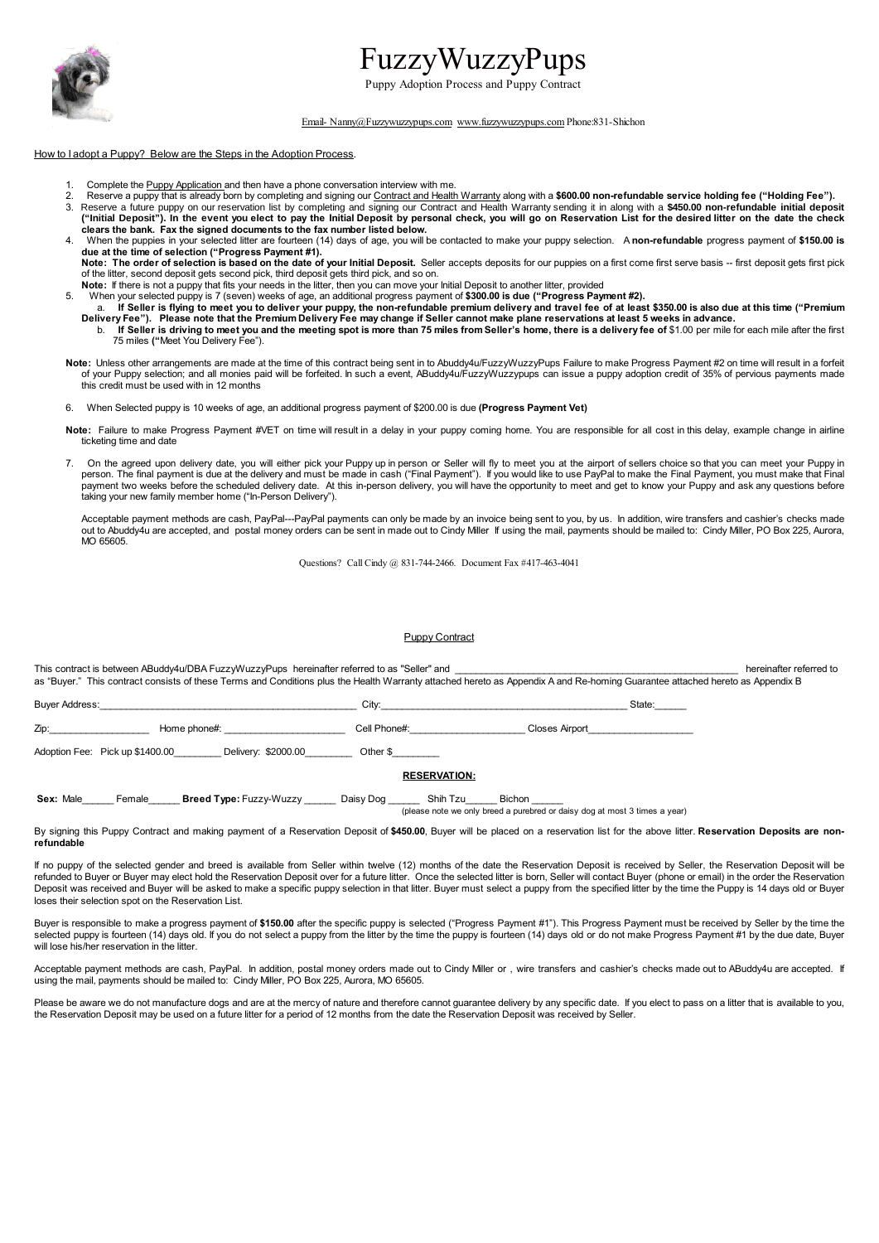

# FuzzyWuzzyPups

Puppy Adoption Process and Puppy Contract

#### [Email- Nanny@Fuzzywuzzypups.com](mailto:Email-Nanny@Fuzzywuzzypups.com?subject=Contract) [www.fuzzywuzzypups.com](http://www.fuzzywuzzypups.com/) Phone:831-Shichon

# How to I adopt a Puppy? Below are the Steps in the Adoption Process.

- 1. Complete the **Puppy Application** and then have a phone conversation interview with me.
- 2. Reserve a puppy that is already born by completing and signing our Contract and Health Warranty along with a \$600.00 non-refundable service holding fee ("Holding Fee").<br>2. Reserve a future numby on our reservation list
- 3. Reserve a future puppy on our reservation list by completing and signing our Contract and Health Warranty sending it in along with a **\$450.00 non-refundable initial deposit** ("Initial Deposit"). In the event you elect to pay the Initial Deposit by personal check, you will go on Reservation List for the desired litter on the date the check<br>clears the bank. Fax the signed documents to the fax nu
- 4. When the puppies in your selected litter are fourteen (14) days of age, you will be contacted to make your puppy selection. A **non-refundable** progress payment of **\$150.00 is due at the time of selection ("Progress Payment #1).**

Note: The order of selection is based on the date of your Initial Deposit. Seller accepts deposits for our puppies on a first come first serve basis -- first deposit gets first pick of the litter, second deposit gets second pick, third deposit gets third pick, and so on.

**Note:** If there is not a puppy that fits your needs in the litter, then you can move your Initial Deposit to another litter, provided

- 
- 5. When your selected puppy is 7 (seven) weeks of age, an additional progress payment of \$300.00 is due ("Progress Payment #2).<br>a. If Seller is flying to meet you to deliver your puppy, the non-refundable premium delivery b. If Seller is driving to meet you and the meeting spot is more than 75 miles from Seller's home, there is a delivery fee of \$1.00 per mile for each mile after the first<br>75 miles ("Meet You Delivery Fee").
- Note: Unless other arrangements are made at the time of this contract being sent in to Abuddy4u/FuzzyWuzzyPups Failure to make Progress Payment #2 on time will result in a forfeit in a forfeit ed. In such a event, ABuddy4u this credit must be used with in 12 months
- 6. When Selected puppy is 10 weeks of age, an additional progress payment of \$200.00 is due **(Progress Payment Vet)**
- Note: Failure to make Progress Payment #VET on time will result in a delay in your puppy coming home. You are responsible for all cost in this delay, example change in airline ticketing time and date
- On the agreed upon delivery date, you will either pick your Puppy up in person or Seller will fly to meet you at the airport of sellers choice so that you can meet your Puppy in person. The final payment is due at the delivery and must be made in cash ("Final Payment"). If you would like to use PayPal to make the Final Payment, you must make that Final<br>payment two weeks before the scheduled delive taking your new family member home ("In-Person Delivery").

Acceptable payment methods are cash, PayPal---PayPal payments can only be made by an invoice being sent to you, by us. In addition, wire transfers and cashier's checks made out to Abuddy4u are accepted, and postal money orders can be sent in made out to Cindy Miller If using the mail, payments should be mailed to: Cindy Miller, PO Box 225, Aurora, MO 65605.

Questions? Call Cindy @ 831-744-2466. Document Fax #417-463-4041

#### **Puppy Contract**

This contract is between ABuddy4u/DBA FuzzyWuzzyPups hereinafter referred to as "Seller" and \_\_\_\_\_\_\_\_\_\_\_\_\_\_\_\_\_\_\_\_\_\_\_\_\_\_\_\_\_\_\_\_\_\_\_\_\_\_\_\_\_\_\_\_\_\_\_\_\_\_\_\_\_\_ hereinafter referred to as "Buyer." This contract consists of these Terms and Conditions plus the Health Warranty attached hereto as Appendix A and Re-homing Guarantee attached hereto as Appendix B

Buyer Address:\_\_\_\_\_\_\_\_\_\_\_\_\_\_\_\_\_\_\_\_\_\_\_\_\_\_\_\_\_\_\_\_\_\_\_\_\_\_\_\_\_\_\_\_\_\_\_\_\_ City:\_\_\_\_\_\_\_\_\_\_\_\_\_\_\_\_\_\_\_\_\_\_\_\_\_\_\_\_\_\_\_\_\_\_\_\_\_\_\_\_\_\_\_\_\_\_\_ State:\_\_\_\_\_\_ Zip:\_\_\_\_\_\_\_\_\_\_\_\_\_\_\_\_\_\_\_ Home phone#: \_\_\_\_\_\_\_\_\_\_\_\_\_\_\_\_\_\_\_\_\_\_\_ Cell Phone#:\_\_\_\_\_\_\_\_\_\_\_\_\_\_\_\_\_\_\_\_\_\_ Closes Airport\_\_\_\_\_\_\_\_\_\_\_\_\_\_\_\_\_\_\_\_

Adoption Fee: Pick up \$1400.00\_\_\_\_\_\_\_\_\_\_ Delivery: \$2000.00\_\_\_\_\_\_\_\_\_\_ Other \$\_\_\_\_

# **RESERVATION:**

Sex: Male\_\_\_\_\_\_ Female\_\_\_\_\_\_ Breed Type: Fuzzy-Wuzzy \_\_\_\_\_\_ Daisy Dog \_\_\_\_\_\_ Shih Tzu\_\_\_\_\_\_ Bichon

(please note we only breed a purebred or daisy dog at most 3 times a year)

By signing this Puppy Contract and making payment of a Reservation Deposit of **\$450.00**, Buyer will be placed on a reservation list for the above litter. **Reservation Deposits are nonrefundable**

If no puppy of the selected gender and breed is available from Seller within twelve (12) months of the date the Reservation Deposit is received by Seller, the Reservation Deposit will be refunded to Buyer or Buyer may elect hold the Reservation Deposit over for a future litter. Once the selected litter is born, Seller will contact Buyer (phone or email) in the order the Reservation<br>Deposit was received and loses their selection spot on the Reservation List.

Buyer is responsible to make a progress payment of \$150.00 after the specific puppy is selected ("Progress Payment #1"). This Progress Payment must be received by Seller by the time the selected puppy is fourteen (14) days old. If you do not select a puppy from the litter by the time the puppy is fourteen (14) days old or do not make Progress Payment #1 by the due date, Buyer will lose his/her reservation in the litter.

Acceptable payment methods are cash, PayPal. In addition, postal money orders made out to Cindy Miller or, wire transfers and cashier's checks made out to ABuddy4u are accepted. If using the mail, payments should be mailed to: Cindy Miller, PO Box 225, Aurora, MO 65605.

Please be aware we do not manufacture dogs and are at the mercy of nature and therefore cannot guarantee delivery by any specific date. If you elect to pass on a litter that is available to you, the Reservation Deposit may be used on a future litter for a period of 12 months from the date the Reservation Deposit was received by Seller.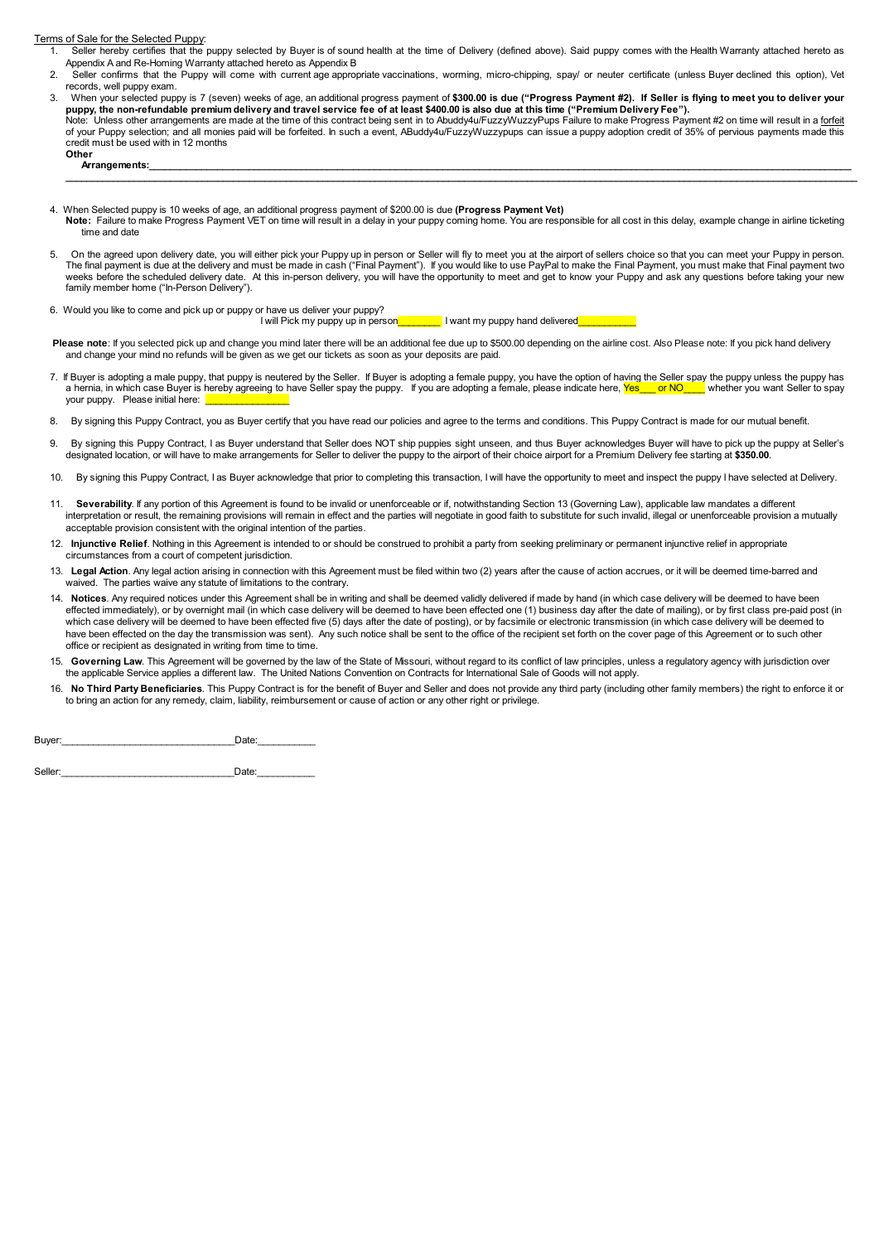Terms of Sale for the Selected Puppy:

- 1. Seller hereby certifies that the puppy selected by Buyer is of sound health at the time of Delivery (defined above). Said puppy comes with the Health Warranty attached hereto as Appendix A and Re-Homing Warranty attached hereto as Appendix B
- 2. Seller confirms that the Puppy will come with current age appropriate vaccinations, worming, micro-chipping, spay/ or neuter certificate (unless Buyer declined this option), Vet records, well puppy exam.
- 3. When your selected puppy is 7 (seven) weeks of age, an additional progress payment of **\$300.00 is due ("Progress Payment #2). If Seller is flying to meet you to deliver your** puppy, the non-refundable premium delivery and travel service fee of at least \$400.00 is also due at this time ("Premium Delivery Fee").<br>Note: Unless other arrangements are made at the time of this contract being sent in t of your Puppy selection; and all monies paid will be forfeited. In such a event, ABuddy4u/FuzzyWuzzypups can issue a puppy adoption credit of 35% of pervious payments made this

**\_\_\_\_\_\_\_\_\_\_\_\_\_\_\_\_\_\_\_\_\_\_\_\_\_\_\_\_\_\_\_\_\_\_\_\_\_\_\_\_\_\_\_\_\_\_\_\_\_\_\_\_\_\_\_\_\_\_\_\_\_\_\_\_\_\_\_\_\_\_\_\_\_\_\_\_\_\_\_\_\_\_\_\_\_\_\_\_\_\_\_\_\_\_\_\_\_\_\_\_\_\_\_\_\_\_\_\_\_\_\_\_\_\_\_\_\_\_\_\_\_\_\_\_\_\_\_\_\_\_\_\_\_\_\_\_\_\_\_\_\_\_\_\_\_\_\_\_\_\_\_**

Other<br>Arrangements: **Arrangements:\_\_\_\_\_\_\_\_\_\_\_\_\_\_\_\_\_\_\_\_\_\_\_\_\_\_\_\_\_\_\_\_\_\_\_\_\_\_\_\_\_\_\_\_\_\_\_\_\_\_\_\_\_\_\_\_\_\_\_\_\_\_\_\_\_\_\_\_\_\_\_\_\_\_\_\_\_\_\_\_\_\_\_\_\_\_\_\_\_\_\_\_\_\_\_\_\_\_\_\_\_\_\_\_\_\_\_\_\_\_\_\_\_\_\_\_\_\_\_\_\_\_\_\_\_\_\_\_\_\_\_\_\_\_**

credit must be used with in 12 months

- 4. When Selected puppy is 10 weeks of age, an additional progress payment of \$200.00 is due **(Progress Payment Vet) Note:** Failure to make Progress Payment VET on time will result in a delay in your puppy coming home. You are responsible for all cost in this delay, example change in airline ticketing time and date
- 5. On the agreed upon delivery date, you will either pick your Puppy up in person or Seller will fly to meet you at the airport of sellers choice so that you can meet your Puppy in person.<br>The final payment is due at the d weeks before the scheduled delivery date. At this in-person delivery, you will have the opportunity to meet and get to know your Puppy and ask any questions before taking your new family member home ("In-Person Delivery").
- 6. Would you like to come and pick up or puppy or have us deliver your puppy?

I will Pick my puppy up in person I want my puppy hand delivered

Please note: If you selected pick up and change you mind later there will be an additional fee due up to \$500.00 depending on the airline cost. Also Please note: If you pick hand delivery and change your mind no refunds will be given as we get our tickets as soon as your deposits are paid.

- 7. If Buyer is adopting a male puppy, that puppy is neutered by the Seller. If Buyer is adopting a female puppy, you have the option of having the Seller spay the puppy unless the puppy has a hernia, in which case Buyer is hereby agreeing to have Seller spay the puppy. If you are adopting a female, please indicate here, Yes\_\_\_ or NO\_\_\_ whether you want Seller to spay your puppy. Please initial here:
- 8. By signing this Puppy Contract, you as Buyer certify that you have read our policies and agree to the terms and conditions. This Puppy Contract is made for our mutual benefit.
- 9. By signing this Puppy Contract, I as Buyer understand that Seller does NOT ship puppies sight unseen, and thus Buyer acknowledges Buyer will have to pick up the puppy at Seller's designated location, or will have to make arrangements for Seller to deliver the puppy to the airport of their choice airport for a Premium Delivery fee starting at **\$350.00**.
- 10. By signing this Puppy Contract, I as Buyer acknowledge that prior to completing this transaction, I will have the opportunity to meet and inspect the puppy I have selected at Delivery.
- Severability. If any portion of this Agreement is found to be invalid or unenforceable or if, notwithstanding Section 13 (Governing Law), applicable law mandates a different interpretation or result, the remaining provisions will remain in effect and the parties will negotiate in good faith to substitute for such invalid, illegal or unenforceable provision a mutually acceptable provision consistent with the original intention of the parties.
- 12. **Injunctive Relief**. Nothing in this Agreement is intended to or should be construed to prohibit a party from seeking preliminary or permanent injunctive relief in appropriate circumstances from a court of competent jurisdiction.
- 13. Legal Action. Any legal action arising in connection with this Agreement must be filed within two (2) years after the cause of action accrues, or it will be deemed time-barred and waived. The parties waive any statute of limitations to the contrary.
- 14. **Notices**. Any required notices under this Agreement shall be in writing and shall be deemed validly delivered if made by hand (in which case delivery will be deemed to have been effected immediately), or by overnight mail (in which case delivery will be deemed to have been effected one (1) business day after the date of mailing), or by first class pre-paid post (in which case delivery will be deemed to have been effected five (5) days after the date of posting), or by facsimile or electronic transmission (in which case delivery will be deemed to have been effected on the day the transmission was sent). Any such notice shall be sent to the office of the recipient set forth on the cover page of this Agreement or to such other office or recipient as designated in writing from time to time.
- 15. Governing Law. This Agreement will be governed by the law of the State of Missouri, without regard to its conflict of law principles, unless a regulatory agency with jurisdiction over the applicable Service applies a different law. The United Nations Convention on Contracts for International Sale of Goods will not apply.
- 16. No Third Party Beneficiaries. This Puppy Contract is for the benefit of Buyer and Seller and does not provide any third party (including other family members) the right to enforce it or<br>to bring an action for any remed

Buyer:\_\_\_\_\_\_\_\_\_\_\_\_\_\_\_\_\_\_\_\_\_\_\_\_\_\_\_\_\_\_\_\_\_Date:\_\_\_\_\_\_\_\_\_\_\_

Seller:\_\_\_\_\_\_\_\_\_\_\_\_\_\_\_\_\_\_\_\_\_\_\_\_\_\_\_\_\_\_\_\_\_Date:\_\_\_\_\_\_\_\_\_\_\_